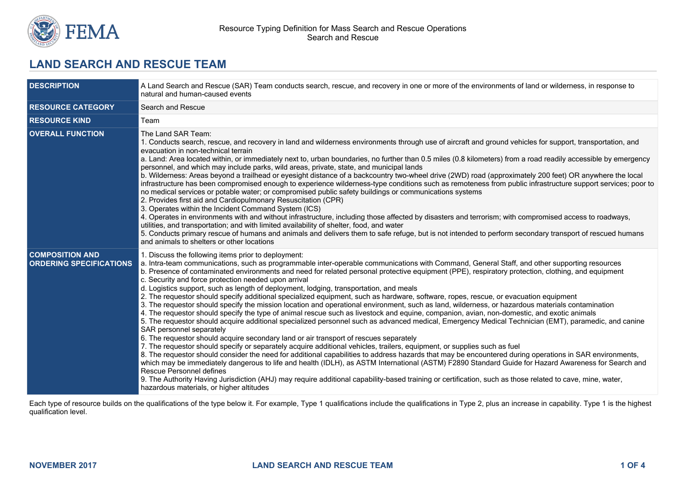

# **LAND SEARCH AND RESCUE TEAM**

| <b>DESCRIPTION</b>                                       | A Land Search and Rescue (SAR) Team conducts search, rescue, and recovery in one or more of the environments of land or wilderness, in response to<br>natural and human-caused events                                                                                                                                                                                                                                                                                                                                                                                                                                                                                                                                                                                                                                                                                                                                                                                                                                                                                                                                                                                                                                                                                                                                                                                                                                                                                                                                                                                                                                                                                                                                                                                                                                                                                                                                        |  |  |
|----------------------------------------------------------|------------------------------------------------------------------------------------------------------------------------------------------------------------------------------------------------------------------------------------------------------------------------------------------------------------------------------------------------------------------------------------------------------------------------------------------------------------------------------------------------------------------------------------------------------------------------------------------------------------------------------------------------------------------------------------------------------------------------------------------------------------------------------------------------------------------------------------------------------------------------------------------------------------------------------------------------------------------------------------------------------------------------------------------------------------------------------------------------------------------------------------------------------------------------------------------------------------------------------------------------------------------------------------------------------------------------------------------------------------------------------------------------------------------------------------------------------------------------------------------------------------------------------------------------------------------------------------------------------------------------------------------------------------------------------------------------------------------------------------------------------------------------------------------------------------------------------------------------------------------------------------------------------------------------------|--|--|
| <b>RESOURCE CATEGORY</b>                                 | Search and Rescue                                                                                                                                                                                                                                                                                                                                                                                                                                                                                                                                                                                                                                                                                                                                                                                                                                                                                                                                                                                                                                                                                                                                                                                                                                                                                                                                                                                                                                                                                                                                                                                                                                                                                                                                                                                                                                                                                                            |  |  |
| <b>RESOURCE KIND</b>                                     | Team                                                                                                                                                                                                                                                                                                                                                                                                                                                                                                                                                                                                                                                                                                                                                                                                                                                                                                                                                                                                                                                                                                                                                                                                                                                                                                                                                                                                                                                                                                                                                                                                                                                                                                                                                                                                                                                                                                                         |  |  |
| <b>OVERALL FUNCTION</b>                                  | The Land SAR Team:<br>1. Conducts search, rescue, and recovery in land and wilderness environments through use of aircraft and ground vehicles for support, transportation, and<br>evacuation in non-technical terrain<br>a. Land: Area located within, or immediately next to, urban boundaries, no further than 0.5 miles (0.8 kilometers) from a road readily accessible by emergency<br>personnel, and which may include parks, wild areas, private, state, and municipal lands<br>b. Wilderness: Areas beyond a trailhead or eyesight distance of a backcountry two-wheel drive (2WD) road (approximately 200 feet) OR anywhere the local<br>infrastructure has been compromised enough to experience wilderness-type conditions such as remoteness from public infrastructure support services; poor to<br>no medical services or potable water; or compromised public safety buildings or communications systems<br>2. Provides first aid and Cardiopulmonary Resuscitation (CPR)<br>3. Operates within the Incident Command System (ICS)<br>4. Operates in environments with and without infrastructure, including those affected by disasters and terrorism; with compromised access to roadways,<br>utilities, and transportation; and with limited availability of shelter, food, and water<br>5. Conducts primary rescue of humans and animals and delivers them to safe refuge, but is not intended to perform secondary transport of rescued humans<br>and animals to shelters or other locations                                                                                                                                                                                                                                                                                                                                                                                                              |  |  |
| <b>COMPOSITION AND</b><br><b>ORDERING SPECIFICATIONS</b> | 1. Discuss the following items prior to deployment:<br>a. Intra-team communications, such as programmable inter-operable communications with Command, General Staff, and other supporting resources<br>b. Presence of contaminated environments and need for related personal protective equipment (PPE), respiratory protection, clothing, and equipment<br>c. Security and force protection needed upon arrival<br>d. Logistics support, such as length of deployment, lodging, transportation, and meals<br>2. The requestor should specify additional specialized equipment, such as hardware, software, ropes, rescue, or evacuation equipment<br>3. The requestor should specify the mission location and operational environment, such as land, wilderness, or hazardous materials contamination<br>4. The requestor should specify the type of animal rescue such as livestock and equine, companion, avian, non-domestic, and exotic animals<br>5. The requestor should acquire additional specialized personnel such as advanced medical, Emergency Medical Technician (EMT), paramedic, and canine<br>SAR personnel separately<br>6. The requestor should acquire secondary land or air transport of rescues separately<br>7. The requestor should specify or separately acquire additional vehicles, trailers, equipment, or supplies such as fuel<br>8. The requestor should consider the need for additional capabilities to address hazards that may be encountered during operations in SAR environments,<br>which may be immediately dangerous to life and health (IDLH), as ASTM International (ASTM) F2890 Standard Guide for Hazard Awareness for Search and<br><b>Rescue Personnel defines</b><br>9. The Authority Having Jurisdiction (AHJ) may require additional capability-based training or certification, such as those related to cave, mine, water,<br>hazardous materials, or higher altitudes |  |  |

Each type of resource builds on the qualifications of the type below it. For example, Type 1 qualifications include the qualifications in Type 2, plus an increase in capability. Type 1 is the highest qualification level.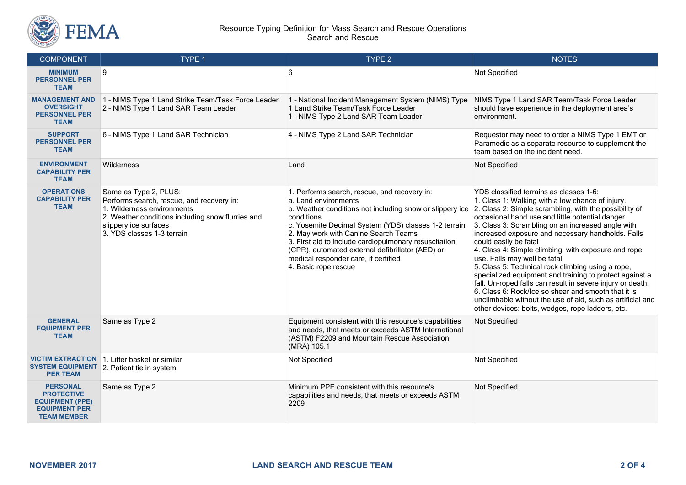

#### Resource Typing Definition for Mass Search and Rescue Operations Search and Rescue

| <b>COMPONENT</b>                                                                                             | <b>TYPE 1</b>                                                                                                                                                                                                | TYPE <sub>2</sub>                                                                                                                                                                                                                                                                                                                                                                                                           | <b>NOTES</b>                                                                                                                                                                                                                                                                                                                                                                                                                                                                                                                                                                                                                                                                                                                                                                                |
|--------------------------------------------------------------------------------------------------------------|--------------------------------------------------------------------------------------------------------------------------------------------------------------------------------------------------------------|-----------------------------------------------------------------------------------------------------------------------------------------------------------------------------------------------------------------------------------------------------------------------------------------------------------------------------------------------------------------------------------------------------------------------------|---------------------------------------------------------------------------------------------------------------------------------------------------------------------------------------------------------------------------------------------------------------------------------------------------------------------------------------------------------------------------------------------------------------------------------------------------------------------------------------------------------------------------------------------------------------------------------------------------------------------------------------------------------------------------------------------------------------------------------------------------------------------------------------------|
| <b>MINIMUM</b><br><b>PERSONNEL PER</b><br><b>TEAM</b>                                                        | 9                                                                                                                                                                                                            | 6                                                                                                                                                                                                                                                                                                                                                                                                                           | Not Specified                                                                                                                                                                                                                                                                                                                                                                                                                                                                                                                                                                                                                                                                                                                                                                               |
| <b>MANAGEMENT AND</b><br><b>OVERSIGHT</b><br><b>PERSONNEL PER</b><br><b>TEAM</b>                             | 1 - NIMS Type 1 Land Strike Team/Task Force Leader<br>2 - NIMS Type 1 Land SAR Team Leader                                                                                                                   | 1 - National Incident Management System (NIMS) Type<br>1 Land Strike Team/Task Force Leader<br>1 - NIMS Type 2 Land SAR Team Leader                                                                                                                                                                                                                                                                                         | NIMS Type 1 Land SAR Team/Task Force Leader<br>should have experience in the deployment area's<br>environment.                                                                                                                                                                                                                                                                                                                                                                                                                                                                                                                                                                                                                                                                              |
| <b>SUPPORT</b><br><b>PERSONNEL PER</b><br><b>TEAM</b>                                                        | 6 - NIMS Type 1 Land SAR Technician                                                                                                                                                                          | 4 - NIMS Type 2 Land SAR Technician                                                                                                                                                                                                                                                                                                                                                                                         | Requestor may need to order a NIMS Type 1 EMT or<br>Paramedic as a separate resource to supplement the<br>team based on the incident need.                                                                                                                                                                                                                                                                                                                                                                                                                                                                                                                                                                                                                                                  |
| <b>ENVIRONMENT</b><br><b>CAPABILITY PER</b><br><b>TEAM</b>                                                   | Wilderness                                                                                                                                                                                                   | Land                                                                                                                                                                                                                                                                                                                                                                                                                        | Not Specified                                                                                                                                                                                                                                                                                                                                                                                                                                                                                                                                                                                                                                                                                                                                                                               |
| <b>OPERATIONS</b><br><b>CAPABILITY PER</b><br><b>TEAM</b>                                                    | Same as Type 2, PLUS:<br>Performs search, rescue, and recovery in:<br>1. Wilderness environments<br>2. Weather conditions including snow flurries and<br>slippery ice surfaces<br>3. YDS classes 1-3 terrain | 1. Performs search, rescue, and recovery in:<br>a. Land environments<br>b. Weather conditions not including snow or slippery ice<br>conditions<br>c. Yosemite Decimal System (YDS) classes 1-2 terrain<br>2. May work with Canine Search Teams<br>3. First aid to include cardiopulmonary resuscitation<br>(CPR), automated external defibrillator (AED) or<br>medical responder care, if certified<br>4. Basic rope rescue | YDS classified terrains as classes 1-6:<br>1. Class 1: Walking with a low chance of injury.<br>2. Class 2: Simple scrambling, with the possibility of<br>occasional hand use and little potential danger.<br>3. Class 3: Scrambling on an increased angle with<br>increased exposure and necessary handholds. Falls<br>could easily be fatal<br>4. Class 4: Simple climbing, with exposure and rope<br>use. Falls may well be fatal.<br>5. Class 5: Technical rock climbing using a rope,<br>specialized equipment and training to protect against a<br>fall. Un-roped falls can result in severe injury or death.<br>6. Class 6: Rock/Ice so shear and smooth that it is<br>unclimbable without the use of aid, such as artificial and<br>other devices: bolts, wedges, rope ladders, etc. |
| <b>GENERAL</b><br><b>EQUIPMENT PER</b><br><b>TEAM</b>                                                        | Same as Type 2                                                                                                                                                                                               | Equipment consistent with this resource's capabilities<br>and needs, that meets or exceeds ASTM International<br>(ASTM) F2209 and Mountain Rescue Association<br>(MRA) 105.1                                                                                                                                                                                                                                                | Not Specified                                                                                                                                                                                                                                                                                                                                                                                                                                                                                                                                                                                                                                                                                                                                                                               |
| <b>VICTIM EXTRACTION</b><br><b>SYSTEM EQUIPMENT</b><br><b>PER TEAM</b>                                       | 1. Litter basket or similar<br>2. Patient tie in system                                                                                                                                                      | Not Specified                                                                                                                                                                                                                                                                                                                                                                                                               | Not Specified                                                                                                                                                                                                                                                                                                                                                                                                                                                                                                                                                                                                                                                                                                                                                                               |
| <b>PERSONAL</b><br><b>PROTECTIVE</b><br><b>EQUIPMENT (PPE)</b><br><b>EQUIPMENT PER</b><br><b>TEAM MEMBER</b> | Same as Type 2                                                                                                                                                                                               | Minimum PPE consistent with this resource's<br>capabilities and needs, that meets or exceeds ASTM<br>2209                                                                                                                                                                                                                                                                                                                   | Not Specified                                                                                                                                                                                                                                                                                                                                                                                                                                                                                                                                                                                                                                                                                                                                                                               |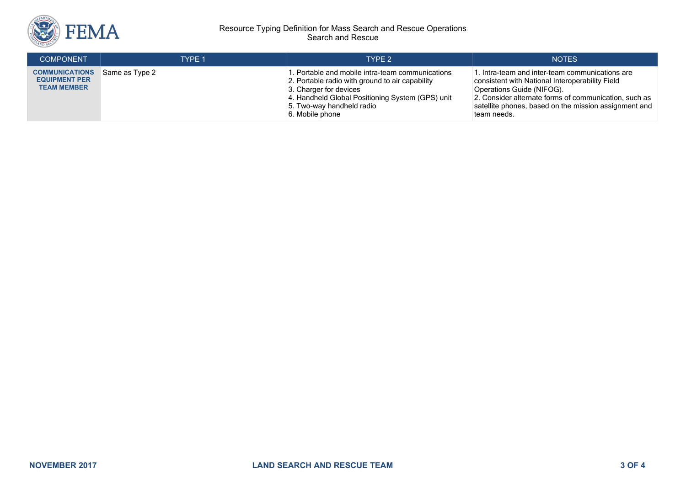

#### Resource Typing Definition for Mass Search and Rescue Operations Search and Rescue

| <b>COMPONENT</b>                                                    | TYPF 1         | TYPF <sub>2</sub>                                                                                                                                                                                                                 | <b>NOTES</b>                                                                                                                                                                                                                                                     |
|---------------------------------------------------------------------|----------------|-----------------------------------------------------------------------------------------------------------------------------------------------------------------------------------------------------------------------------------|------------------------------------------------------------------------------------------------------------------------------------------------------------------------------------------------------------------------------------------------------------------|
| <b>COMMUNICATIONS</b><br><b>EQUIPMENT PER</b><br><b>TEAM MEMBER</b> | Same as Type 2 | 1. Portable and mobile intra-team communications<br>2. Portable radio with ground to air capability<br>3. Charger for devices<br>4. Handheld Global Positioning System (GPS) unit<br>5. Two-way handheld radio<br>6. Mobile phone | l. Intra-team and inter-team communications are<br>consistent with National Interoperability Field<br>Operations Guide (NIFOG).<br>2. Consider alternate forms of communication, such as<br>satellite phones, based on the mission assignment and<br>team needs. |